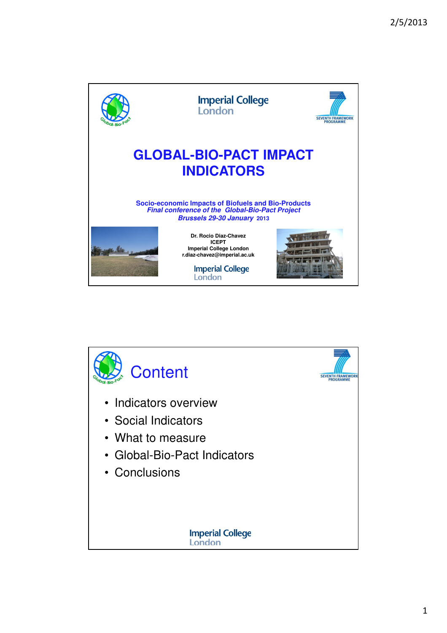

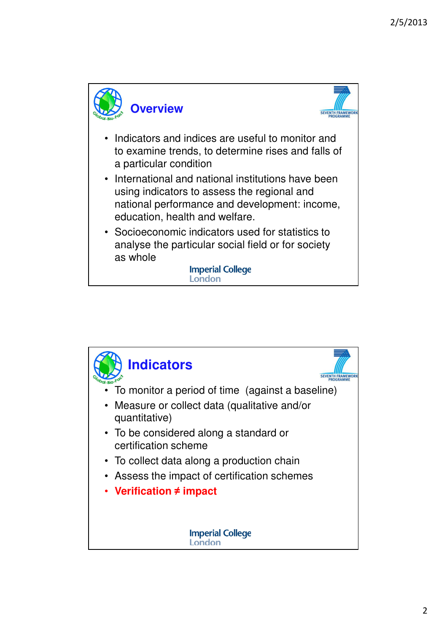

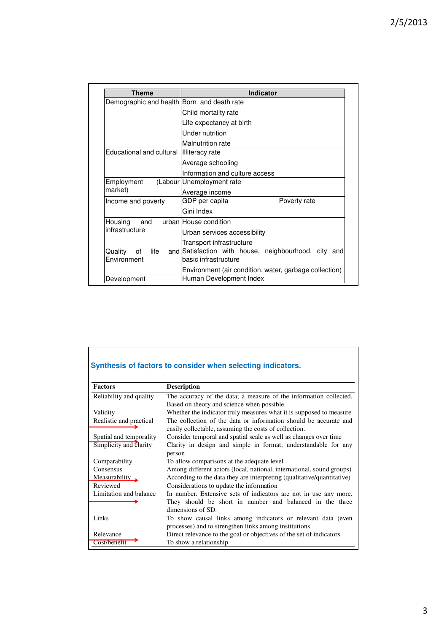| Theme                                      | <b>Indicator</b>                                       |
|--------------------------------------------|--------------------------------------------------------|
| Demographic and health Born and death rate |                                                        |
|                                            | Child mortality rate                                   |
|                                            | Life expectancy at birth                               |
|                                            | Under nutrition                                        |
|                                            | Malnutrition rate                                      |
| Educational and cultural                   | Illiteracy rate                                        |
|                                            | Average schooling                                      |
|                                            | Information and culture access                         |
| Employment                                 | (Labour Unemployment rate                              |
| market)                                    | Average income                                         |
| Income and poverty                         | GDP per capita<br>Poverty rate                         |
|                                            | Gini Index                                             |
| Housing<br>and                             | urban House condition                                  |
| infrastructure                             | Urban services accessibility                           |
|                                            | Transport infrastructure                               |
| Quality<br>life<br>of                      | and Satisfaction with house, neighbourhood, city and   |
| Environment                                | basic infrastructure                                   |
|                                            | Environment (air condition, water, garbage collection) |
| Development                                | Human Development Index                                |

|                         | Synthesis of factors to consider when selecting indicators.                                                               |
|-------------------------|---------------------------------------------------------------------------------------------------------------------------|
| <b>Factors</b>          | <b>Description</b>                                                                                                        |
| Reliability and quality | The accuracy of the data; a measure of the information collected.                                                         |
|                         | Based on theory and science when possible.                                                                                |
| Validity                | Whether the indicator truly measures what it is supposed to measure                                                       |
| Realistic and practical | The collection of the data or information should be accurate and<br>easily collectable, assuming the costs of collection. |
| Spatial and temporality | Consider temporal and spatial scale as well as changes over time                                                          |
| Simplicity and clarity  | Clarity in design and simple in format; understandable for any<br>person                                                  |
| Comparability           | To allow comparisons at the adequate level                                                                                |
| Consensus               | Among different actors (local, national, international, sound groups)                                                     |
| Measurability           | According to the data they are interpreting (qualitative/quantitative)                                                    |
| Reviewed                | Considerations to update the information                                                                                  |
| Limitation and balance  | In number. Extensive sets of indicators are not in use any more.                                                          |
|                         | They should be short in number and balanced in the three                                                                  |
|                         | dimensions of SD.                                                                                                         |
| Links                   | To show causal links among indicators or relevant data (even                                                              |
|                         | processes) and to strengthen links among institutions.                                                                    |
| Relevance               | Direct relevance to the goal or objectives of the set of indicators                                                       |
| Cost/benefit            | To show a relationship                                                                                                    |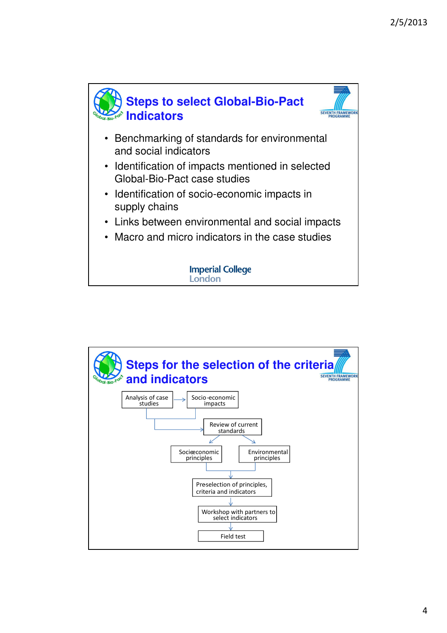

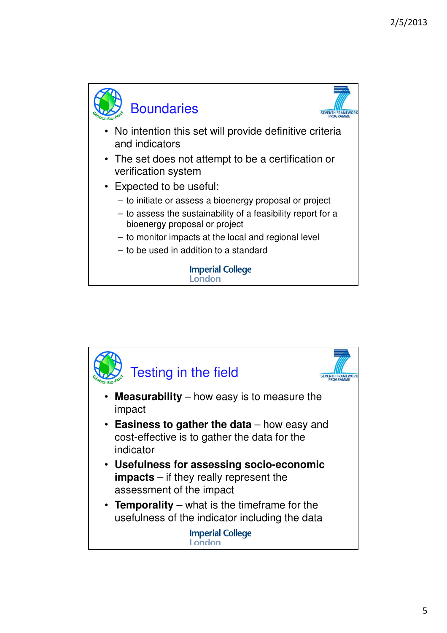

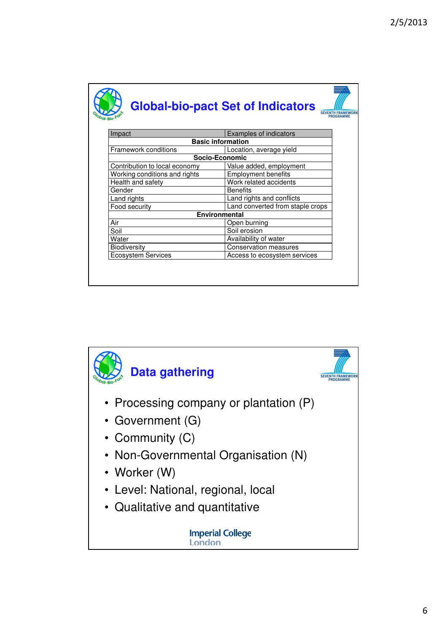|                               | <b>Global-bio-pact Set of Indicators</b><br>PROGRAMMI |
|-------------------------------|-------------------------------------------------------|
| Impact                        | Examples of indicators                                |
|                               | <b>Basic information</b>                              |
| Framework conditions          | Location, average yield                               |
|                               | Socio-Economic                                        |
| Contribution to local economy | Value added, employment                               |
| Working conditions and rights | <b>Employment benefits</b>                            |
| Health and safety             | Work related accidents                                |
| Gender                        | <b>Benefits</b>                                       |
| Land rights                   | Land rights and conflicts                             |
| Food security                 | Land converted from staple crops                      |
|                               | Environmental                                         |
| Air                           | Open burning                                          |
| Soil                          | Soil erosion                                          |
| Water                         | Availability of water                                 |
| <b>Biodiversity</b>           | Conservation measures                                 |
| <b>Ecosystem Services</b>     | Access to ecosystem services                          |

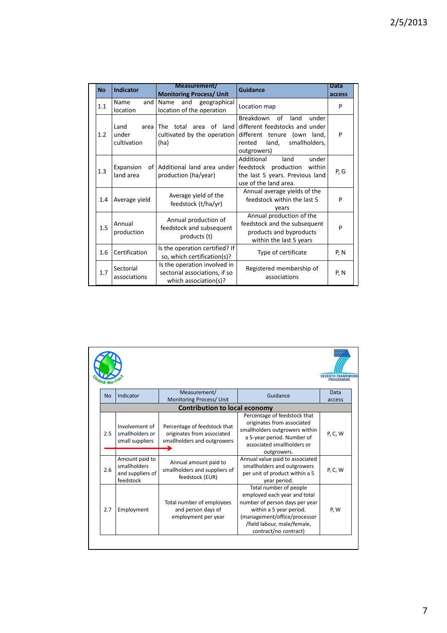| <b>No</b> | <b>Indicator</b>                     | Measurement/                                                                           | Guidance                                                                                                                                             | <b>Data</b> |
|-----------|--------------------------------------|----------------------------------------------------------------------------------------|------------------------------------------------------------------------------------------------------------------------------------------------------|-------------|
|           |                                      | <b>Monitoring Process/ Unit</b>                                                        |                                                                                                                                                      | access      |
| 1.1       | Name<br>and<br>location              | and<br>geographical<br>Name<br>location of the operation                               | Location map                                                                                                                                         | P           |
| 1.2       | Land<br>area<br>under<br>cultivation | total area of land<br>The<br>cultivated by the operation<br>(ha)                       | Breakdown<br>of<br>land<br>under<br>different feedstocks and under<br>different tenure (own land,<br>smallholders,<br>land,<br>rented<br>outgrowers) | P           |
| 1.3       | Expansion<br>land area               | of Additional land area under<br>production (ha/year)                                  | Additional<br>under<br>land<br>feedstock production<br>within<br>the last 5 years. Previous land<br>use of the land area.                            | P, G        |
| 1.4       | Average yield                        | Average yield of the<br>feedstock (t/ha/yr)                                            | Annual average yields of the<br>feedstock within the last 5<br>years                                                                                 | P           |
| 1.5       | Annual<br>production                 | Annual production of<br>feedstock and subsequent<br>products (t)                       | Annual production of the<br>feedstock and the subsequent<br>products and byproducts<br>within the last 5 years                                       | P           |
| 1.6       | Certification                        | Is the operation certified? If<br>so, which certification(s)?                          | Type of certificate                                                                                                                                  | P, N        |
| 1.7       | Sectorial<br>associations            | Is the operation involved in<br>sectorial associations, if so<br>which association(s)? | Registered membership of<br>associations                                                                                                             | P, N        |

|           |                                                                 |                                                                                           |                                                                                                                                                                                                             | PROGRAMME   |
|-----------|-----------------------------------------------------------------|-------------------------------------------------------------------------------------------|-------------------------------------------------------------------------------------------------------------------------------------------------------------------------------------------------------------|-------------|
| <b>No</b> | Indicator                                                       | Measurement/                                                                              | Guidance                                                                                                                                                                                                    | <b>Data</b> |
|           |                                                                 | Monitoring Process/ Unit                                                                  |                                                                                                                                                                                                             | access      |
|           |                                                                 | <b>Contribution to local economy</b>                                                      |                                                                                                                                                                                                             |             |
| 2.5       | Involvement of<br>smallholders or<br>small suppliers            | Percentage of feedstock that<br>originates from associated<br>smallholders and outgrowers | Percentage of feedstock that<br>originates from associated<br>smallholders outgrowers within<br>a 5-year period. Number of<br>associated smallholders or                                                    | P, C, W     |
|           |                                                                 |                                                                                           | outgrowers.                                                                                                                                                                                                 |             |
| 2.6       | Amount paid to<br>smallholders<br>and suppliers of<br>feedstock | Annual amount paid to<br>smallholders and suppliers of<br>feedstock (EUR)                 | Annual value paid to associated<br>smallholders and outgrowers<br>per unit of product within a 5<br>year period.                                                                                            | P, C, W     |
| 2.7       | Employment                                                      | Total number of employees<br>and person days of<br>employment per year                    | Total number of people<br>employed each year and total<br>number of person days per year<br>within a 5 year period.<br>(management/office/processor<br>/field labour, male/female,<br>contract/no contract) | P, W        |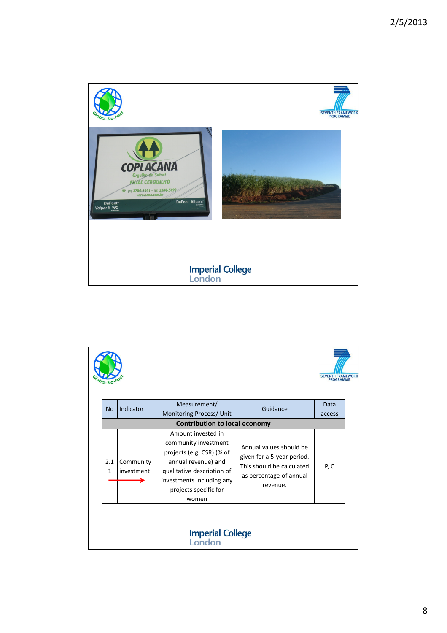

|                     |                         |                                                                                                                                                                                             |                                                                                                                           | <b>SEVENTH FRAMEWORK</b><br>PROGRAMME |
|---------------------|-------------------------|---------------------------------------------------------------------------------------------------------------------------------------------------------------------------------------------|---------------------------------------------------------------------------------------------------------------------------|---------------------------------------|
| <b>No</b>           | Indicator               | Measurement/<br>Monitoring Process/ Unit                                                                                                                                                    | Guidance                                                                                                                  | Data<br>access                        |
|                     |                         | <b>Contribution to local economy</b>                                                                                                                                                        |                                                                                                                           |                                       |
| 2.1<br>$\mathbf{1}$ | Community<br>investment | Amount invested in<br>community investment<br>projects (e.g. CSR) (% of<br>annual revenue) and<br>qualitative description of<br>investments including any<br>projects specific for<br>women | Annual values should be<br>given for a 5-year period.<br>This should be calculated<br>as percentage of annual<br>revenue. | P, C                                  |
|                     |                         | <b>Imperial College</b><br>Londor                                                                                                                                                           |                                                                                                                           |                                       |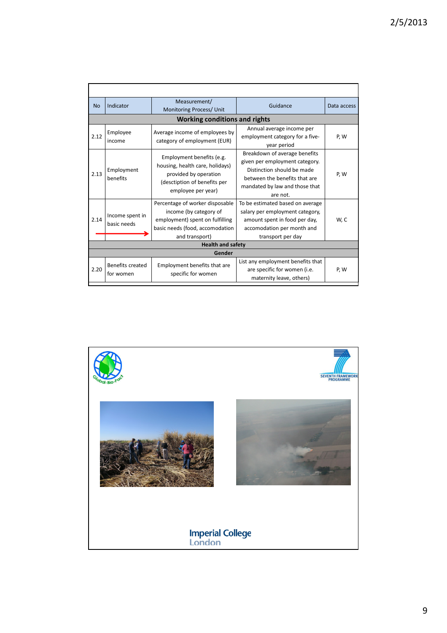| <b>No</b> | Indicator                      | Measurement/<br>Monitoring Process/ Unit                                                                                                          | Guidance                                                                                                                                                                     | Data access |
|-----------|--------------------------------|---------------------------------------------------------------------------------------------------------------------------------------------------|------------------------------------------------------------------------------------------------------------------------------------------------------------------------------|-------------|
|           |                                | <b>Working conditions and rights</b>                                                                                                              |                                                                                                                                                                              |             |
| 2.12      | Employee<br>income             | Average income of employees by<br>category of employment (EUR)                                                                                    | Annual average income per<br>employment category for a five-<br>year period                                                                                                  | P, W        |
| 2.13      | Employment<br>benefits         | Employment benefits (e.g.<br>housing, health care, holidays)<br>provided by operation<br>(desctiption of benefits per<br>employee per year)       | Breakdown of average benefits<br>given per employment category.<br>Distinction should be made<br>between the benefits that are<br>mandated by law and those that<br>are not. | P, W        |
| 2.14      | Income spent in<br>basic needs | Percentage of worker disposable<br>income (by category of<br>employment) spent on fulfilling<br>basic needs (food, accomodation<br>and transport) | To be estimated based on average<br>salary per employment category,<br>amount spent in food per day,<br>accomodation per month and<br>transport per day                      | W, C        |
|           |                                | <b>Health and safety</b>                                                                                                                          |                                                                                                                                                                              |             |
|           |                                | Gender                                                                                                                                            |                                                                                                                                                                              |             |
| 2.20      | Benefits created<br>for women  | Employment benefits that are<br>specific for women                                                                                                | List any employment benefits that<br>are specific for women (i.e.<br>maternity leave, others)                                                                                | P, W        |

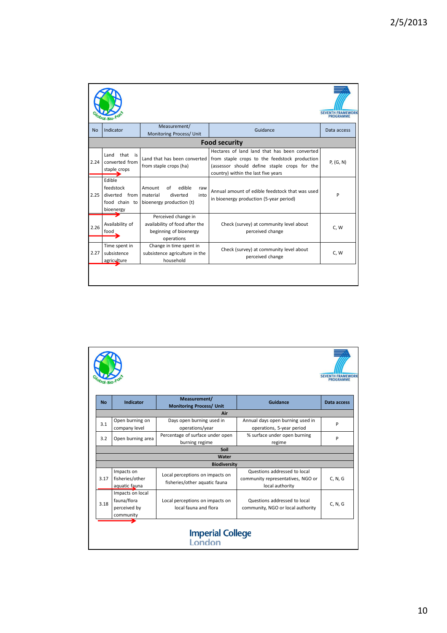|      |                                                                    |                                                                                               |                                                                                                                                                                                       | <b>SEVENTH FRAMEWORK</b><br><b>PROGRAMME</b> |
|------|--------------------------------------------------------------------|-----------------------------------------------------------------------------------------------|---------------------------------------------------------------------------------------------------------------------------------------------------------------------------------------|----------------------------------------------|
| No   | Indicator                                                          | Measurement/<br>Monitoring Process/ Unit                                                      | Guidance                                                                                                                                                                              | Data access                                  |
|      |                                                                    |                                                                                               | <b>Food security</b>                                                                                                                                                                  |                                              |
| 2.24 | Land that is<br>converted from<br>staple crops                     | Land that has been converted<br>from staple crops (ha)                                        | Hectares of land land that has been converted<br>from staple crops to the feedstock production<br>(assessor should define staple crops for the<br>country) within the last five years | P, (G, N)                                    |
| 2.25 | Edible<br>feedstock<br>diverted from<br>food chain to<br>bioenergy | edible<br>Amount<br>of<br>raw<br>diverted<br>material<br>into<br>bioenergy production (t)     | Annual amount of edible feedstock that was used<br>in bioenergy production (5-year period)                                                                                            | P                                            |
| 2.26 | Availability of<br>food                                            | Perceived change in<br>availability of food after the<br>beginning of bioenergy<br>operations | Check (survey) at community level about<br>perceived change                                                                                                                           | C, W                                         |
| 2.27 | Time spent in<br>subsistence<br>agriculture                        | Change in time spent in<br>subsistence agriculture in the<br>household                        | Check (survey) at community level about<br>perceived change                                                                                                                           | C, W                                         |

|           |                                                              |                                                                  |                                                                                      | <b>SEVENTH FRAMEWOR</b><br><b>PROGRAMME</b> |
|-----------|--------------------------------------------------------------|------------------------------------------------------------------|--------------------------------------------------------------------------------------|---------------------------------------------|
| <b>No</b> | Indicator                                                    | Measurement/<br><b>Monitoring Process/ Unit</b>                  | Guidance                                                                             | Data access                                 |
|           |                                                              | Air                                                              |                                                                                      |                                             |
| 3.1       | Open burning on<br>company level                             | Days open burning used in<br>operations/year                     | Annual days open burning used in<br>operations, 5-year period                        | P                                           |
| 3.2       | Open burning area                                            | Percentage of surface under open<br>burning regime               | % surface under open burning<br>regime                                               | P                                           |
|           |                                                              | Soil                                                             |                                                                                      |                                             |
|           |                                                              | Water                                                            |                                                                                      |                                             |
|           |                                                              | <b>Biodiversity</b>                                              |                                                                                      |                                             |
| 3.17      | Impacts on<br>fisheries/other<br>aquatic fauna               | Local perceptions on impacts on<br>fisheries/other aquatic fauna | Questions addressed to local<br>community representatives, NGO or<br>local authority | C, N, G                                     |
| 3.18      | Impacts on local<br>fauna/flora<br>perceived by<br>community | Local perceptions on impacts on<br>local fauna and flora         | Questions addressed to local<br>community, NGO or local authority                    | C, N, G                                     |
|           |                                                              | Imperial College<br>London                                       |                                                                                      |                                             |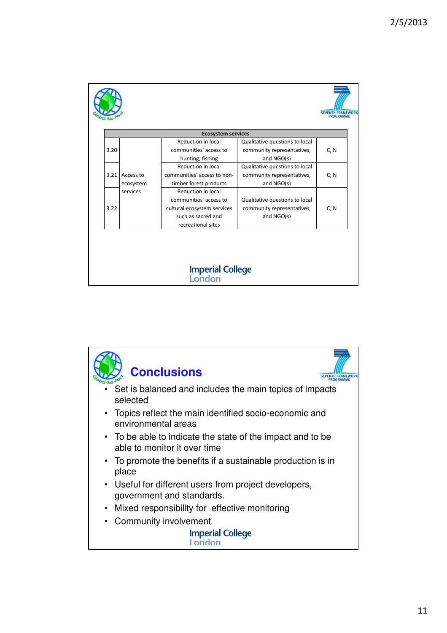|      |           | <b>Ecosystem services</b>   |                                |      |
|------|-----------|-----------------------------|--------------------------------|------|
|      |           | Reduction in local          | Qualitative questions to local |      |
| 3.20 |           | communities' access to      | community representatives,     | C, N |
|      |           | hunting, fishing            | and NGO(s)                     |      |
|      |           | Reduction in local          | Qualitative questions to local |      |
| 3.21 | Access to | communities' access to non- | community representatives,     | C, N |
|      | ecosystem | timber forest products      | and NGO(s)                     |      |
|      | services  | Reduction in local          |                                |      |
|      |           | communities' access to      | Qualitative questions to local |      |
| 3.22 |           | cultural ecosystem services | community representatives,     | C, N |
|      |           | such as sacred and          | and NGO(s)                     |      |
|      |           | recreational sites          |                                |      |